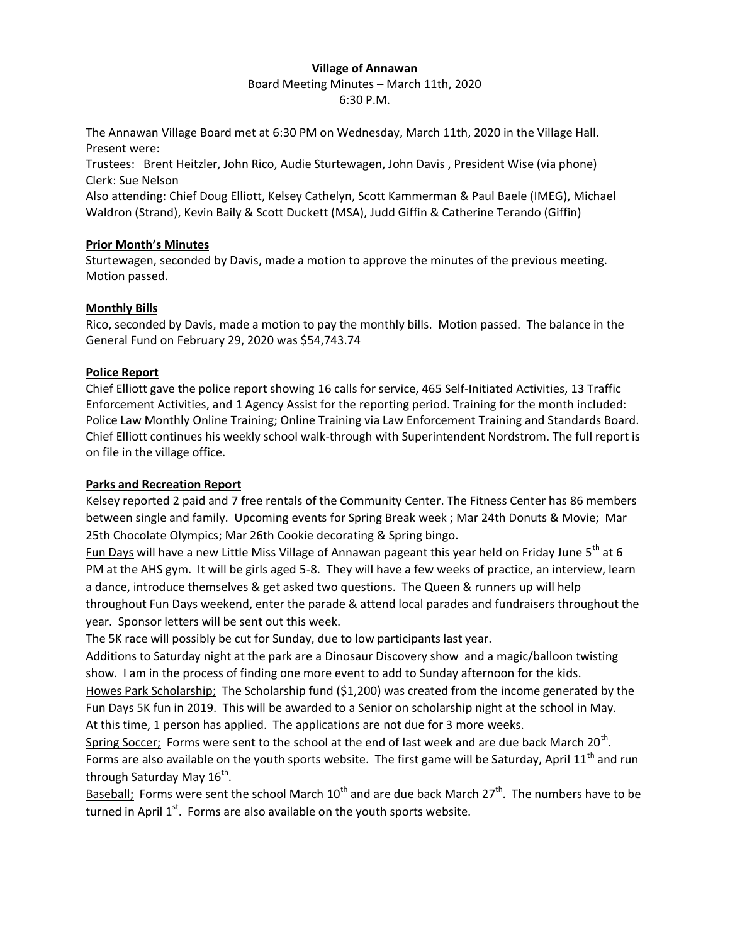### **Village of Annawan**

Board Meeting Minutes – March 11th, 2020 6:30 P.M.

The Annawan Village Board met at 6:30 PM on Wednesday, March 11th, 2020 in the Village Hall. Present were:

Trustees: Brent Heitzler, John Rico, Audie Sturtewagen, John Davis , President Wise (via phone) Clerk: Sue Nelson

Also attending: Chief Doug Elliott, Kelsey Cathelyn, Scott Kammerman & Paul Baele (IMEG), Michael Waldron (Strand), Kevin Baily & Scott Duckett (MSA), Judd Giffin & Catherine Terando (Giffin)

### **Prior Month's Minutes**

Sturtewagen, seconded by Davis, made a motion to approve the minutes of the previous meeting. Motion passed.

# **Monthly Bills**

Rico, seconded by Davis, made a motion to pay the monthly bills. Motion passed. The balance in the General Fund on February 29, 2020 was \$54,743.74

## **Police Report**

Chief Elliott gave the police report showing 16 calls for service, 465 Self-Initiated Activities, 13 Traffic Enforcement Activities, and 1 Agency Assist for the reporting period. Training for the month included: Police Law Monthly Online Training; Online Training via Law Enforcement Training and Standards Board. Chief Elliott continues his weekly school walk-through with Superintendent Nordstrom. The full report is on file in the village office.

# **Parks and Recreation Report**

Kelsey reported 2 paid and 7 free rentals of the Community Center. The Fitness Center has 86 members between single and family. Upcoming events for Spring Break week ; Mar 24th Donuts & Movie; Mar 25th Chocolate Olympics; Mar 26th Cookie decorating & Spring bingo.

Fun Days will have a new Little Miss Village of Annawan pageant this year held on Friday June 5<sup>th</sup> at 6 PM at the AHS gym. It will be girls aged 5-8. They will have a few weeks of practice, an interview, learn a dance, introduce themselves & get asked two questions. The Queen & runners up will help throughout Fun Days weekend, enter the parade & attend local parades and fundraisers throughout the year. Sponsor letters will be sent out this week.

The 5K race will possibly be cut for Sunday, due to low participants last year.

Additions to Saturday night at the park are a Dinosaur Discovery show and a magic/balloon twisting show. I am in the process of finding one more event to add to Sunday afternoon for the kids.

Howes Park Scholarship; The Scholarship fund (\$1,200) was created from the income generated by the Fun Days 5K fun in 2019. This will be awarded to a Senior on scholarship night at the school in May. At this time, 1 person has applied. The applications are not due for 3 more weeks.

Spring Soccer; Forms were sent to the school at the end of last week and are due back March 20<sup>th</sup>. Forms are also available on the youth sports website. The first game will be Saturday, April 11<sup>th</sup> and run through Saturday May 16<sup>th</sup>.

Baseball; Forms were sent the school March  $10^{th}$  and are due back March 27<sup>th</sup>. The numbers have to be turned in April  $1<sup>st</sup>$ . Forms are also available on the youth sports website.